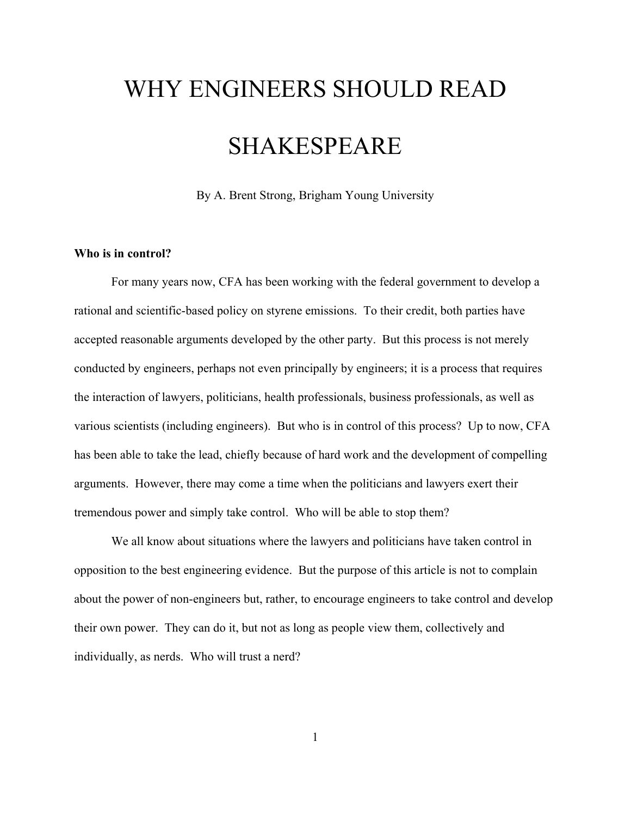# WHY ENGINEERS SHOULD READ SHAKESPEARE

By A. Brent Strong, Brigham Young University

#### **Who is in control?**

 For many years now, CFA has been working with the federal government to develop a rational and scientific-based policy on styrene emissions. To their credit, both parties have accepted reasonable arguments developed by the other party. But this process is not merely conducted by engineers, perhaps not even principally by engineers; it is a process that requires the interaction of lawyers, politicians, health professionals, business professionals, as well as various scientists (including engineers). But who is in control of this process? Up to now, CFA has been able to take the lead, chiefly because of hard work and the development of compelling arguments. However, there may come a time when the politicians and lawyers exert their tremendous power and simply take control. Who will be able to stop them?

 We all know about situations where the lawyers and politicians have taken control in opposition to the best engineering evidence. But the purpose of this article is not to complain about the power of non-engineers but, rather, to encourage engineers to take control and develop their own power. They can do it, but not as long as people view them, collectively and individually, as nerds. Who will trust a nerd?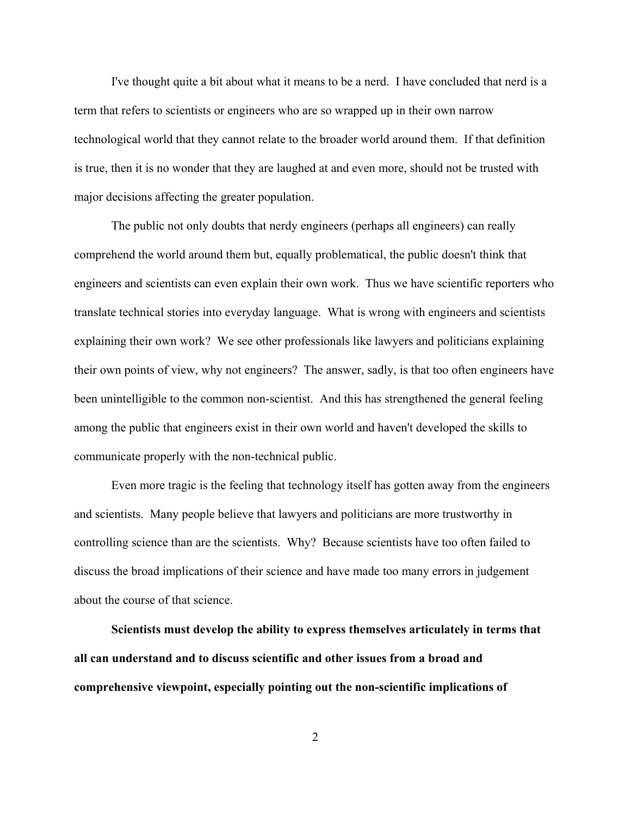I've thought quite a bit about what it means to be a nerd. I have concluded that nerd is a term that refers to scientists or engineers who are so wrapped up in their own narrow technological world that they cannot relate to the broader world around them. If that definition is true, then it is no wonder that they are laughed at and even more, should not be trusted with major decisions affecting the greater population.

 The public not only doubts that nerdy engineers (perhaps all engineers) can really comprehend the world around them but, equally problematical, the public doesn't think that engineers and scientists can even explain their own work. Thus we have scientific reporters who translate technical stories into everyday language. What is wrong with engineers and scientists explaining their own work? We see other professionals like lawyers and politicians explaining their own points of view, why not engineers? The answer, sadly, is that too often engineers have been unintelligible to the common non-scientist. And this has strengthened the general feeling among the public that engineers exist in their own world and haven't developed the skills to communicate properly with the non-technical public.

 Even more tragic is the feeling that technology itself has gotten away from the engineers and scientists. Many people believe that lawyers and politicians are more trustworthy in controlling science than are the scientists. Why? Because scientists have too often failed to discuss the broad implications of their science and have made too many errors in judgement about the course of that science.

**Scientists must develop the ability to express themselves articulately in terms that all can understand and to discuss scientific and other issues from a broad and comprehensive viewpoint, especially pointing out the non-scientific implications of**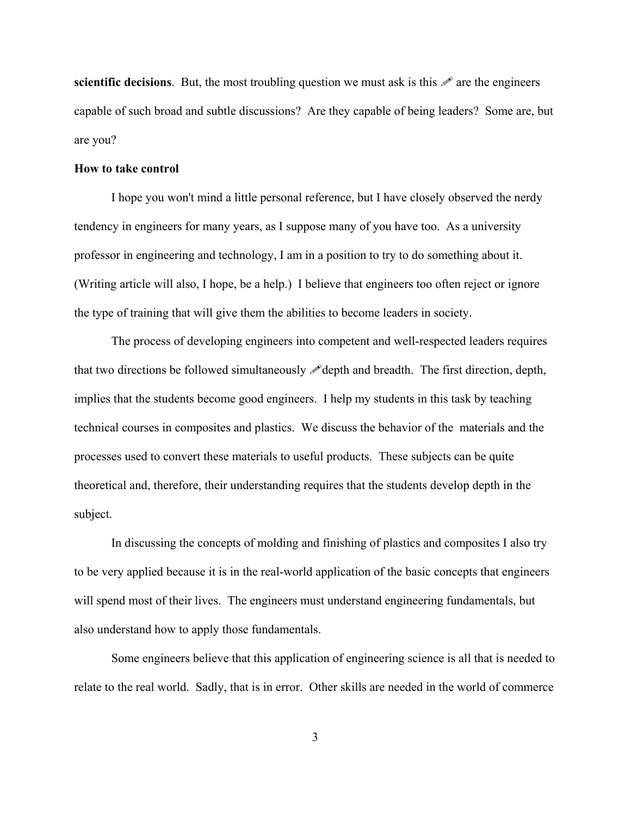**scientific decisions**. But, the most troubling question we must ask is this  $\mathscr{P}$  are the engineers capable of such broad and subtle discussions? Are they capable of being leaders? Some are, but are you?

#### **How to take control**

 I hope you won't mind a little personal reference, but I have closely observed the nerdy tendency in engineers for many years, as I suppose many of you have too. As a university professor in engineering and technology, I am in a position to try to do something about it. (Writing article will also, I hope, be a help.) I believe that engineers too often reject or ignore the type of training that will give them the abilities to become leaders in society.

 The process of developing engineers into competent and well-respected leaders requires that two directions be followed simultaneously  $\mathscr{P}$  depth and breadth. The first direction, depth, implies that the students become good engineers. I help my students in this task by teaching technical courses in composites and plastics. We discuss the behavior of the materials and the processes used to convert these materials to useful products. These subjects can be quite theoretical and, therefore, their understanding requires that the students develop depth in the subject.

 In discussing the concepts of molding and finishing of plastics and composites I also try to be very applied because it is in the real-world application of the basic concepts that engineers will spend most of their lives. The engineers must understand engineering fundamentals, but also understand how to apply those fundamentals.

 Some engineers believe that this application of engineering science is all that is needed to relate to the real world. Sadly, that is in error. Other skills are needed in the world of commerce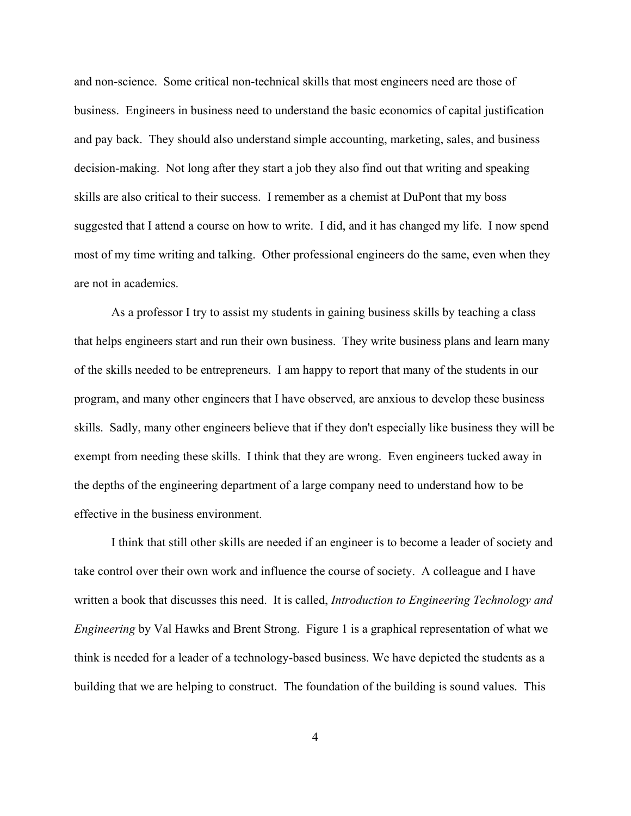and non-science. Some critical non-technical skills that most engineers need are those of business. Engineers in business need to understand the basic economics of capital justification and pay back. They should also understand simple accounting, marketing, sales, and business decision-making. Not long after they start a job they also find out that writing and speaking skills are also critical to their success. I remember as a chemist at DuPont that my boss suggested that I attend a course on how to write. I did, and it has changed my life. I now spend most of my time writing and talking. Other professional engineers do the same, even when they are not in academics.

 As a professor I try to assist my students in gaining business skills by teaching a class that helps engineers start and run their own business. They write business plans and learn many of the skills needed to be entrepreneurs. I am happy to report that many of the students in our program, and many other engineers that I have observed, are anxious to develop these business skills. Sadly, many other engineers believe that if they don't especially like business they will be exempt from needing these skills. I think that they are wrong. Even engineers tucked away in the depths of the engineering department of a large company need to understand how to be effective in the business environment.

 I think that still other skills are needed if an engineer is to become a leader of society and take control over their own work and influence the course of society. A colleague and I have written a book that discusses this need. It is called, *Introduction to Engineering Technology and Engineering* by Val Hawks and Brent Strong. Figure 1 is a graphical representation of what we think is needed for a leader of a technology-based business. We have depicted the students as a building that we are helping to construct. The foundation of the building is sound values. This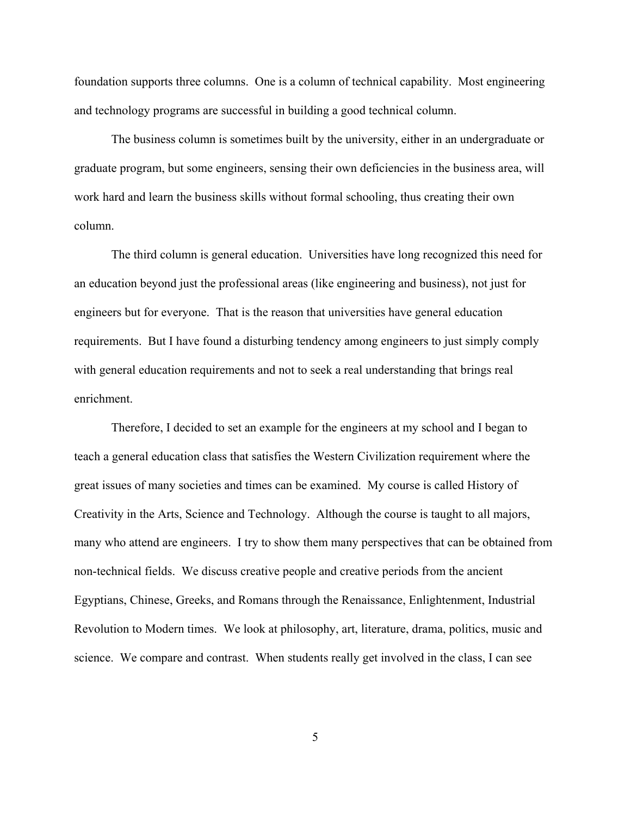foundation supports three columns. One is a column of technical capability. Most engineering and technology programs are successful in building a good technical column.

 The business column is sometimes built by the university, either in an undergraduate or graduate program, but some engineers, sensing their own deficiencies in the business area, will work hard and learn the business skills without formal schooling, thus creating their own column.

 The third column is general education. Universities have long recognized this need for an education beyond just the professional areas (like engineering and business), not just for engineers but for everyone. That is the reason that universities have general education requirements. But I have found a disturbing tendency among engineers to just simply comply with general education requirements and not to seek a real understanding that brings real enrichment.

 Therefore, I decided to set an example for the engineers at my school and I began to teach a general education class that satisfies the Western Civilization requirement where the great issues of many societies and times can be examined. My course is called History of Creativity in the Arts, Science and Technology. Although the course is taught to all majors, many who attend are engineers. I try to show them many perspectives that can be obtained from non-technical fields. We discuss creative people and creative periods from the ancient Egyptians, Chinese, Greeks, and Romans through the Renaissance, Enlightenment, Industrial Revolution to Modern times. We look at philosophy, art, literature, drama, politics, music and science. We compare and contrast. When students really get involved in the class, I can see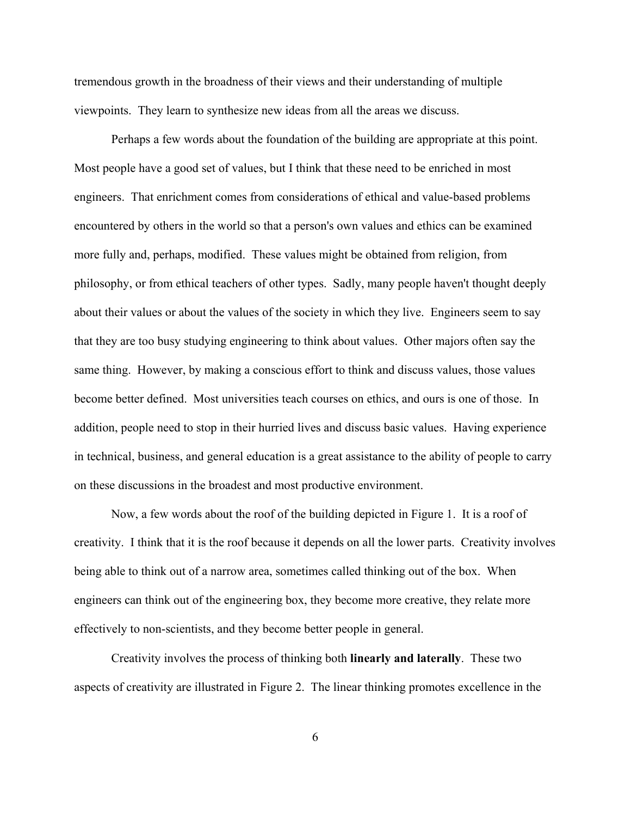tremendous growth in the broadness of their views and their understanding of multiple viewpoints. They learn to synthesize new ideas from all the areas we discuss.

 Perhaps a few words about the foundation of the building are appropriate at this point. Most people have a good set of values, but I think that these need to be enriched in most engineers. That enrichment comes from considerations of ethical and value-based problems encountered by others in the world so that a person's own values and ethics can be examined more fully and, perhaps, modified. These values might be obtained from religion, from philosophy, or from ethical teachers of other types. Sadly, many people haven't thought deeply about their values or about the values of the society in which they live. Engineers seem to say that they are too busy studying engineering to think about values. Other majors often say the same thing. However, by making a conscious effort to think and discuss values, those values become better defined. Most universities teach courses on ethics, and ours is one of those. In addition, people need to stop in their hurried lives and discuss basic values. Having experience in technical, business, and general education is a great assistance to the ability of people to carry on these discussions in the broadest and most productive environment.

 Now, a few words about the roof of the building depicted in Figure 1. It is a roof of creativity. I think that it is the roof because it depends on all the lower parts. Creativity involves being able to think out of a narrow area, sometimes called thinking out of the box. When engineers can think out of the engineering box, they become more creative, they relate more effectively to non-scientists, and they become better people in general.

 Creativity involves the process of thinking both **linearly and laterally**. These two aspects of creativity are illustrated in Figure 2. The linear thinking promotes excellence in the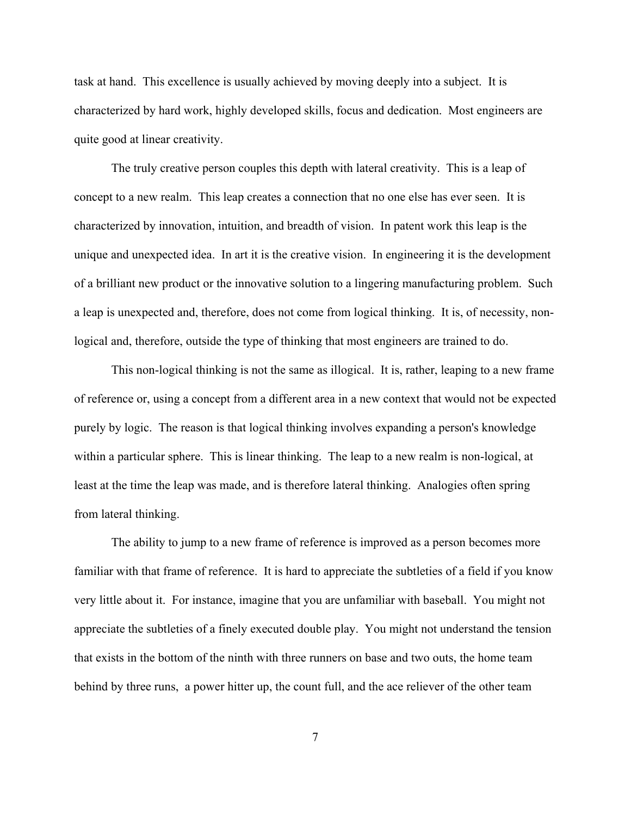task at hand. This excellence is usually achieved by moving deeply into a subject. It is characterized by hard work, highly developed skills, focus and dedication. Most engineers are quite good at linear creativity.

 The truly creative person couples this depth with lateral creativity. This is a leap of concept to a new realm. This leap creates a connection that no one else has ever seen. It is characterized by innovation, intuition, and breadth of vision. In patent work this leap is the unique and unexpected idea. In art it is the creative vision. In engineering it is the development of a brilliant new product or the innovative solution to a lingering manufacturing problem. Such a leap is unexpected and, therefore, does not come from logical thinking. It is, of necessity, nonlogical and, therefore, outside the type of thinking that most engineers are trained to do.

 This non-logical thinking is not the same as illogical. It is, rather, leaping to a new frame of reference or, using a concept from a different area in a new context that would not be expected purely by logic. The reason is that logical thinking involves expanding a person's knowledge within a particular sphere. This is linear thinking. The leap to a new realm is non-logical, at least at the time the leap was made, and is therefore lateral thinking. Analogies often spring from lateral thinking.

 The ability to jump to a new frame of reference is improved as a person becomes more familiar with that frame of reference. It is hard to appreciate the subtleties of a field if you know very little about it. For instance, imagine that you are unfamiliar with baseball. You might not appreciate the subtleties of a finely executed double play. You might not understand the tension that exists in the bottom of the ninth with three runners on base and two outs, the home team behind by three runs, a power hitter up, the count full, and the ace reliever of the other team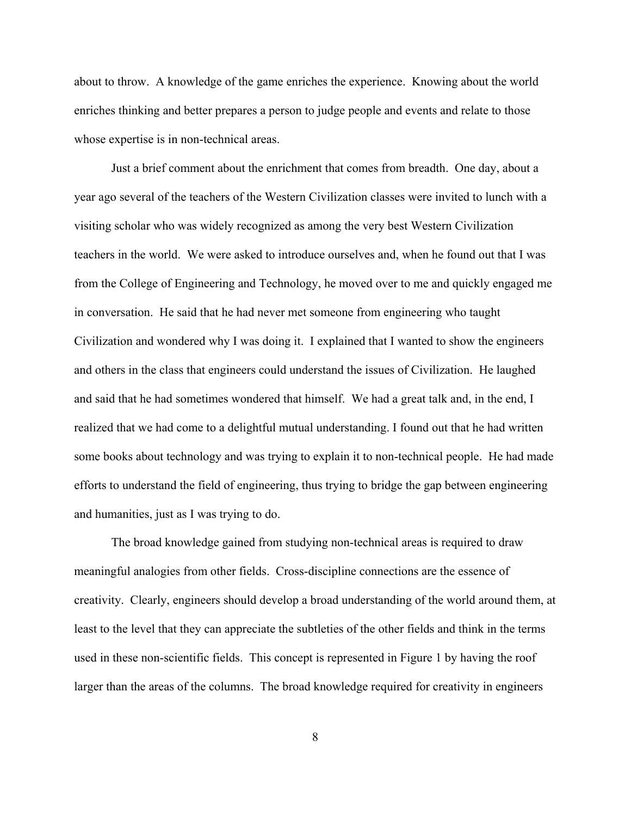about to throw. A knowledge of the game enriches the experience. Knowing about the world enriches thinking and better prepares a person to judge people and events and relate to those whose expertise is in non-technical areas.

 Just a brief comment about the enrichment that comes from breadth. One day, about a year ago several of the teachers of the Western Civilization classes were invited to lunch with a visiting scholar who was widely recognized as among the very best Western Civilization teachers in the world. We were asked to introduce ourselves and, when he found out that I was from the College of Engineering and Technology, he moved over to me and quickly engaged me in conversation. He said that he had never met someone from engineering who taught Civilization and wondered why I was doing it. I explained that I wanted to show the engineers and others in the class that engineers could understand the issues of Civilization. He laughed and said that he had sometimes wondered that himself. We had a great talk and, in the end, I realized that we had come to a delightful mutual understanding. I found out that he had written some books about technology and was trying to explain it to non-technical people. He had made efforts to understand the field of engineering, thus trying to bridge the gap between engineering and humanities, just as I was trying to do.

 The broad knowledge gained from studying non-technical areas is required to draw meaningful analogies from other fields. Cross-discipline connections are the essence of creativity. Clearly, engineers should develop a broad understanding of the world around them, at least to the level that they can appreciate the subtleties of the other fields and think in the terms used in these non-scientific fields. This concept is represented in Figure 1 by having the roof larger than the areas of the columns. The broad knowledge required for creativity in engineers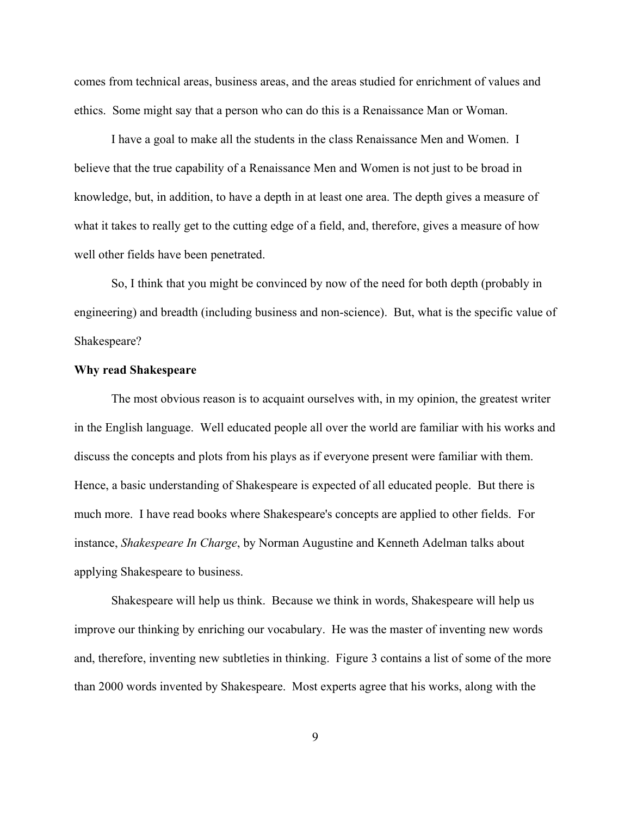comes from technical areas, business areas, and the areas studied for enrichment of values and ethics. Some might say that a person who can do this is a Renaissance Man or Woman.

 I have a goal to make all the students in the class Renaissance Men and Women. I believe that the true capability of a Renaissance Men and Women is not just to be broad in knowledge, but, in addition, to have a depth in at least one area. The depth gives a measure of what it takes to really get to the cutting edge of a field, and, therefore, gives a measure of how well other fields have been penetrated.

 So, I think that you might be convinced by now of the need for both depth (probably in engineering) and breadth (including business and non-science). But, what is the specific value of Shakespeare?

### **Why read Shakespeare**

 The most obvious reason is to acquaint ourselves with, in my opinion, the greatest writer in the English language. Well educated people all over the world are familiar with his works and discuss the concepts and plots from his plays as if everyone present were familiar with them. Hence, a basic understanding of Shakespeare is expected of all educated people. But there is much more. I have read books where Shakespeare's concepts are applied to other fields. For instance, *Shakespeare In Charge*, by Norman Augustine and Kenneth Adelman talks about applying Shakespeare to business.

 Shakespeare will help us think. Because we think in words, Shakespeare will help us improve our thinking by enriching our vocabulary. He was the master of inventing new words and, therefore, inventing new subtleties in thinking. Figure 3 contains a list of some of the more than 2000 words invented by Shakespeare. Most experts agree that his works, along with the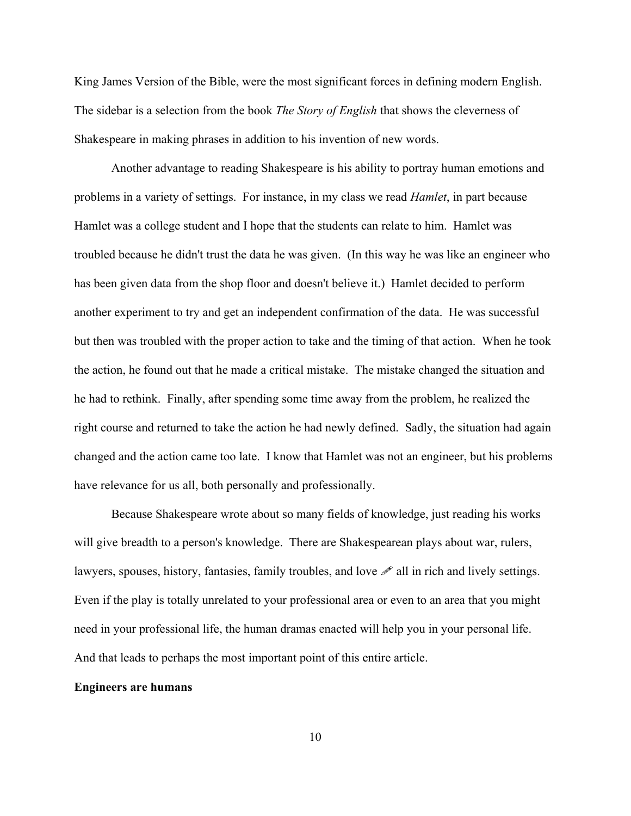King James Version of the Bible, were the most significant forces in defining modern English. The sidebar is a selection from the book *The Story of English* that shows the cleverness of Shakespeare in making phrases in addition to his invention of new words.

 Another advantage to reading Shakespeare is his ability to portray human emotions and problems in a variety of settings. For instance, in my class we read *Hamlet*, in part because Hamlet was a college student and I hope that the students can relate to him. Hamlet was troubled because he didn't trust the data he was given. (In this way he was like an engineer who has been given data from the shop floor and doesn't believe it.) Hamlet decided to perform another experiment to try and get an independent confirmation of the data. He was successful but then was troubled with the proper action to take and the timing of that action. When he took the action, he found out that he made a critical mistake. The mistake changed the situation and he had to rethink. Finally, after spending some time away from the problem, he realized the right course and returned to take the action he had newly defined. Sadly, the situation had again changed and the action came too late. I know that Hamlet was not an engineer, but his problems have relevance for us all, both personally and professionally.

 Because Shakespeare wrote about so many fields of knowledge, just reading his works will give breadth to a person's knowledge. There are Shakespearean plays about war, rulers, lawyers, spouses, history, fantasies, family troubles, and love  $\mathscr N$  all in rich and lively settings. Even if the play is totally unrelated to your professional area or even to an area that you might need in your professional life, the human dramas enacted will help you in your personal life. And that leads to perhaps the most important point of this entire article.

#### **Engineers are humans**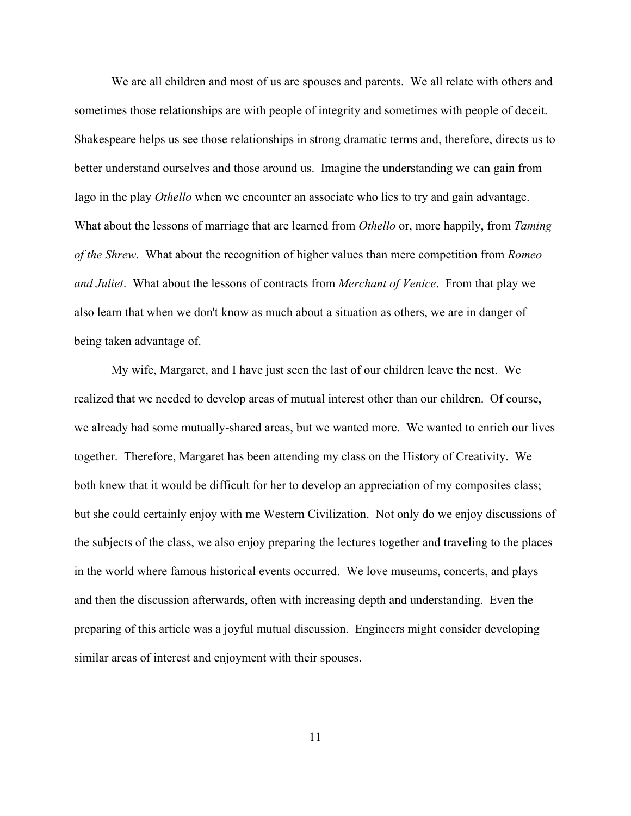We are all children and most of us are spouses and parents. We all relate with others and sometimes those relationships are with people of integrity and sometimes with people of deceit. Shakespeare helps us see those relationships in strong dramatic terms and, therefore, directs us to better understand ourselves and those around us. Imagine the understanding we can gain from Iago in the play *Othello* when we encounter an associate who lies to try and gain advantage. What about the lessons of marriage that are learned from *Othello* or, more happily, from *Taming of the Shrew*. What about the recognition of higher values than mere competition from *Romeo and Juliet*. What about the lessons of contracts from *Merchant of Venice*. From that play we also learn that when we don't know as much about a situation as others, we are in danger of being taken advantage of.

 My wife, Margaret, and I have just seen the last of our children leave the nest. We realized that we needed to develop areas of mutual interest other than our children. Of course, we already had some mutually-shared areas, but we wanted more. We wanted to enrich our lives together. Therefore, Margaret has been attending my class on the History of Creativity. We both knew that it would be difficult for her to develop an appreciation of my composites class; but she could certainly enjoy with me Western Civilization. Not only do we enjoy discussions of the subjects of the class, we also enjoy preparing the lectures together and traveling to the places in the world where famous historical events occurred. We love museums, concerts, and plays and then the discussion afterwards, often with increasing depth and understanding. Even the preparing of this article was a joyful mutual discussion. Engineers might consider developing similar areas of interest and enjoyment with their spouses.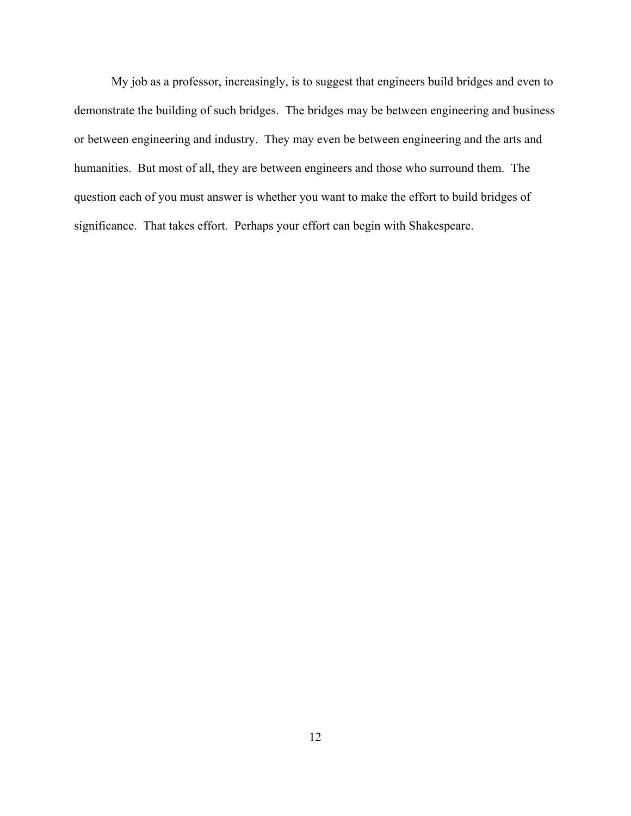My job as a professor, increasingly, is to suggest that engineers build bridges and even to demonstrate the building of such bridges. The bridges may be between engineering and business or between engineering and industry. They may even be between engineering and the arts and humanities. But most of all, they are between engineers and those who surround them. The question each of you must answer is whether you want to make the effort to build bridges of significance. That takes effort. Perhaps your effort can begin with Shakespeare.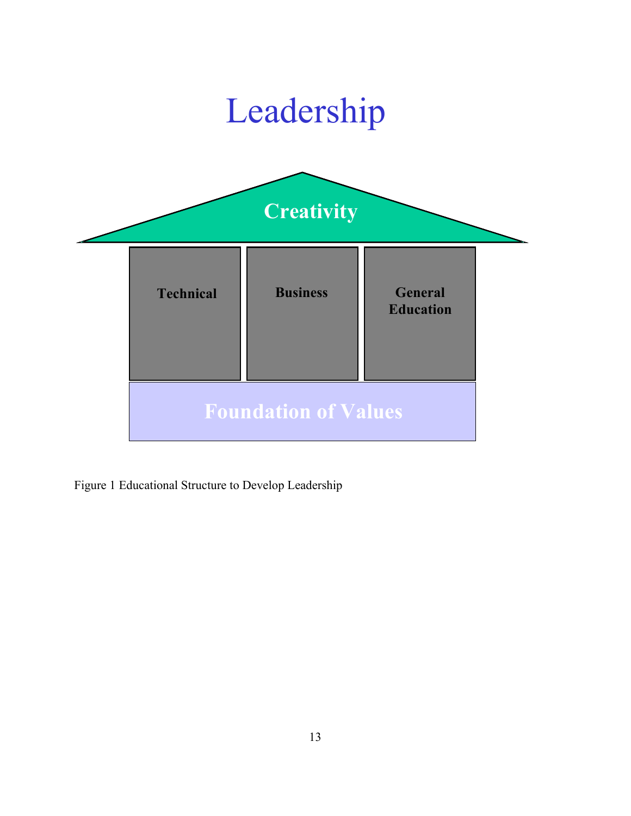

Figure 1 Educational Structure to Develop Leadership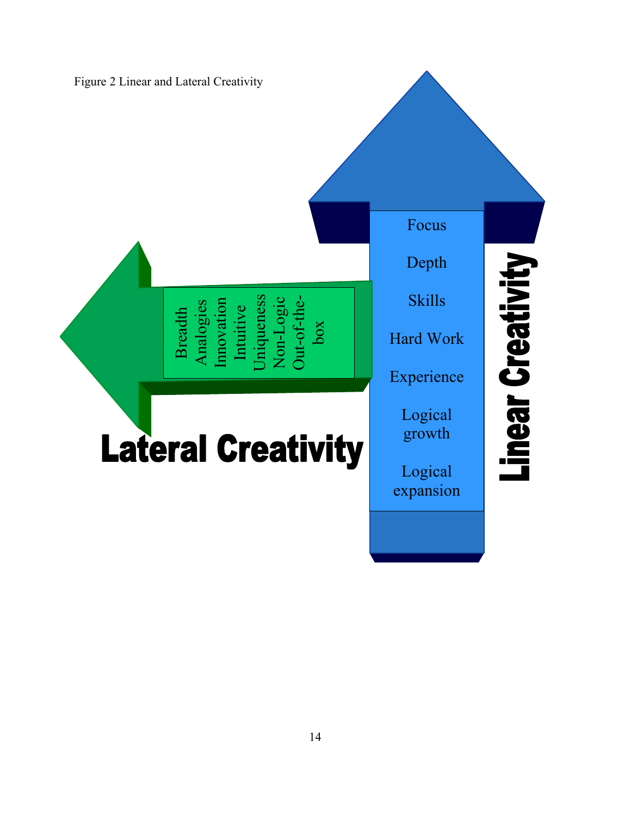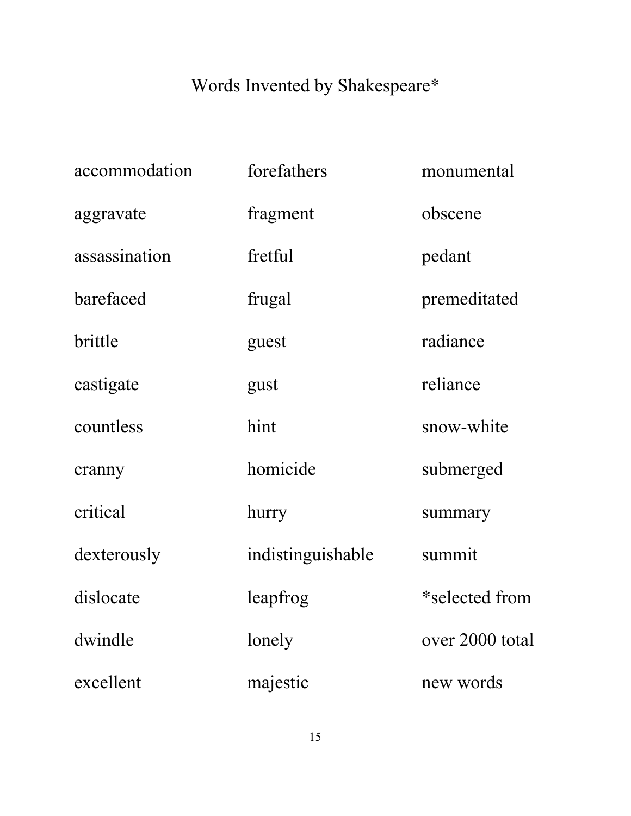## Words Invented by Shakespeare\*

| accommodation | forefathers       | monumental      |
|---------------|-------------------|-----------------|
| aggravate     | fragment          | obscene         |
| assassination | fretful           | pedant          |
| barefaced     | frugal            | premeditated    |
| brittle       | guest             | radiance        |
| castigate     | gust              | reliance        |
| countless     | hint              | snow-white      |
| cranny        | homicide          | submerged       |
| critical      | hurry             | summary         |
| dexterously   | indistinguishable | summit          |
| dislocate     | leapfrog          | *selected from  |
| dwindle       | lonely            | over 2000 total |
| excellent     | majestic          | new words       |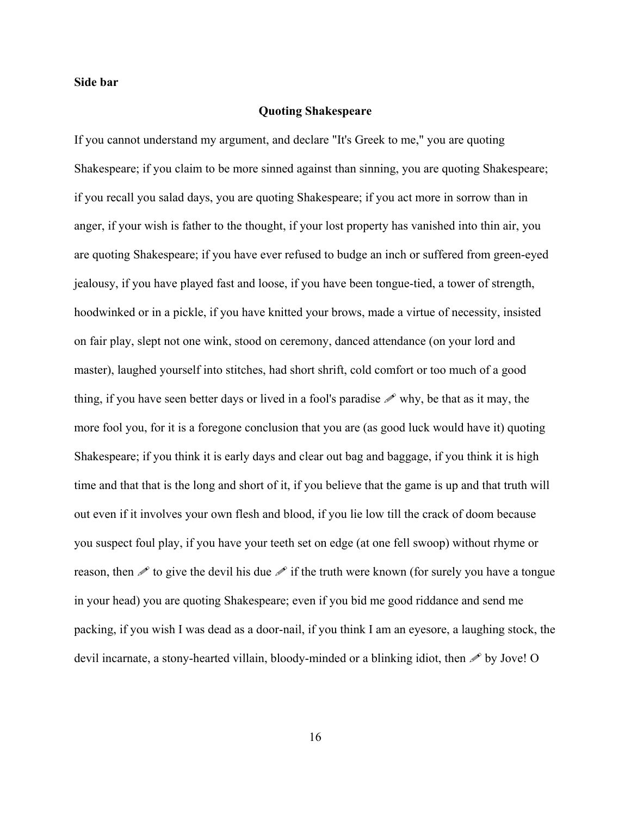#### **Side bar**

#### **Quoting Shakespeare**

If you cannot understand my argument, and declare "It's Greek to me," you are quoting Shakespeare; if you claim to be more sinned against than sinning, you are quoting Shakespeare; if you recall you salad days, you are quoting Shakespeare; if you act more in sorrow than in anger, if your wish is father to the thought, if your lost property has vanished into thin air, you are quoting Shakespeare; if you have ever refused to budge an inch or suffered from green-eyed jealousy, if you have played fast and loose, if you have been tongue-tied, a tower of strength, hoodwinked or in a pickle, if you have knitted your brows, made a virtue of necessity, insisted on fair play, slept not one wink, stood on ceremony, danced attendance (on your lord and master), laughed yourself into stitches, had short shrift, cold comfort or too much of a good thing, if you have seen better days or lived in a fool's paradise  $\mathscr N$  why, be that as it may, the more fool you, for it is a foregone conclusion that you are (as good luck would have it) quoting Shakespeare; if you think it is early days and clear out bag and baggage, if you think it is high time and that that is the long and short of it, if you believe that the game is up and that truth will out even if it involves your own flesh and blood, if you lie low till the crack of doom because you suspect foul play, if you have your teeth set on edge (at one fell swoop) without rhyme or reason, then  $\mathscr S$  to give the devil his due  $\mathscr S$  if the truth were known (for surely you have a tongue in your head) you are quoting Shakespeare; even if you bid me good riddance and send me packing, if you wish I was dead as a door-nail, if you think I am an eyesore, a laughing stock, the devil incarnate, a stony-hearted villain, bloody-minded or a blinking idiot, then  $\mathscr{P}$  by Jove! O